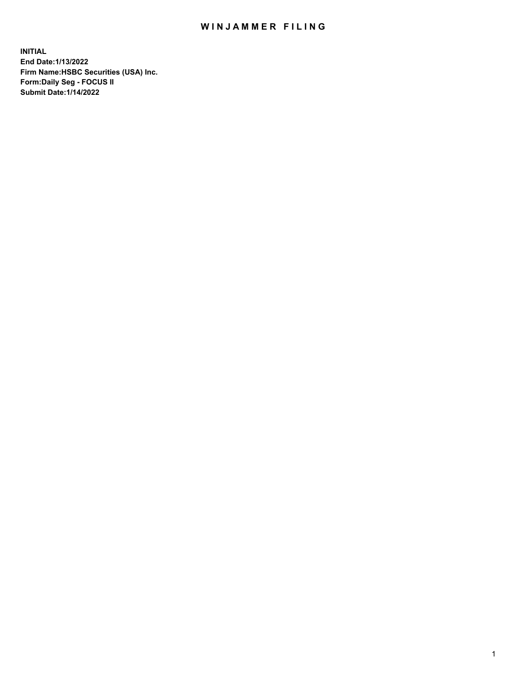## WIN JAMMER FILING

**INITIAL End Date:1/13/2022 Firm Name:HSBC Securities (USA) Inc. Form:Daily Seg - FOCUS II Submit Date:1/14/2022**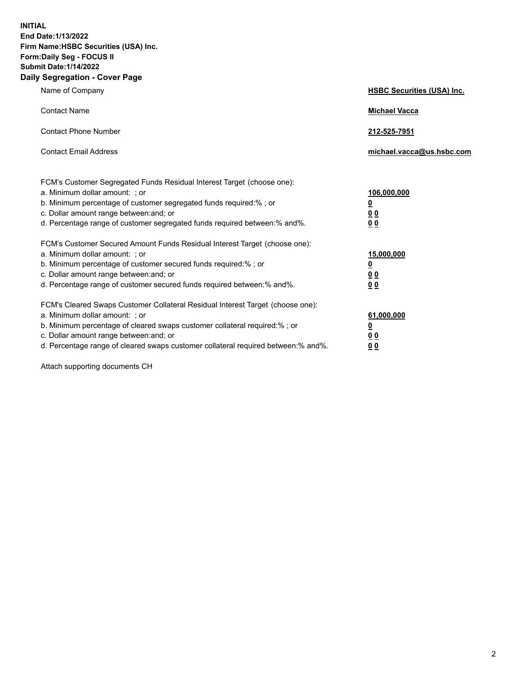**INITIAL End Date:1/13/2022 Firm Name:HSBC Securities (USA) Inc. Form:Daily Seg - FOCUS II Submit Date:1/14/2022 Daily Segregation - Cover Page**

| Name of Company                                                                                                                                                                                                                                                                                                               | <b>HSBC Securities (USA) Inc.</b>                           |
|-------------------------------------------------------------------------------------------------------------------------------------------------------------------------------------------------------------------------------------------------------------------------------------------------------------------------------|-------------------------------------------------------------|
| <b>Contact Name</b>                                                                                                                                                                                                                                                                                                           | <b>Michael Vacca</b>                                        |
| <b>Contact Phone Number</b>                                                                                                                                                                                                                                                                                                   | 212-525-7951                                                |
| <b>Contact Email Address</b>                                                                                                                                                                                                                                                                                                  | michael.vacca@us.hsbc.com                                   |
| FCM's Customer Segregated Funds Residual Interest Target (choose one):<br>a. Minimum dollar amount: ; or<br>b. Minimum percentage of customer segregated funds required:% ; or<br>c. Dollar amount range between: and; or<br>d. Percentage range of customer segregated funds required between:% and%.                        | 106,000,000<br><u>0</u><br>0 <sub>0</sub><br>0 <sub>0</sub> |
| FCM's Customer Secured Amount Funds Residual Interest Target (choose one):<br>a. Minimum dollar amount: ; or<br>b. Minimum percentage of customer secured funds required:%; or<br>c. Dollar amount range between: and; or<br>d. Percentage range of customer secured funds required between: % and %.                         | 15,000,000<br><u>0</u><br>0 <sub>0</sub><br>0 <sub>0</sub>  |
| FCM's Cleared Swaps Customer Collateral Residual Interest Target (choose one):<br>a. Minimum dollar amount: : or<br>b. Minimum percentage of cleared swaps customer collateral required:%; or<br>c. Dollar amount range between: and; or<br>d. Percentage range of cleared swaps customer collateral required between:% and%. | 61,000,000<br><u>0</u><br>00<br>00                          |

Attach supporting documents CH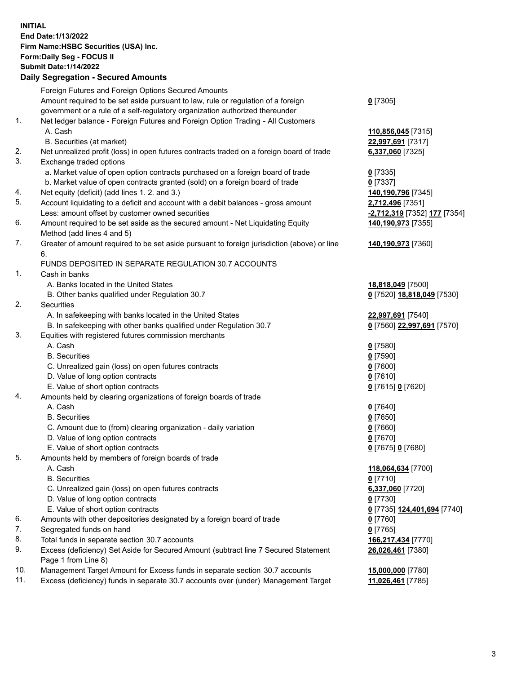**INITIAL End Date:1/13/2022 Firm Name:HSBC Securities (USA) Inc. Form:Daily Seg - FOCUS II Submit Date:1/14/2022**

## **Daily Segregation - Secured Amounts** Foreign Futures and Foreign Options Secured Amounts Amount required to be set aside pursuant to law, rule or regulation of a foreign government or a rule of a self-regulatory organization authorized thereunder **0** [7305] 1. Net ledger balance - Foreign Futures and Foreign Option Trading - All Customers A. Cash **110,856,045** [7315] B. Securities (at market) **22,997,691** [7317] 2. Net unrealized profit (loss) in open futures contracts traded on a foreign board of trade **6,337,060** [7325] 3. Exchange traded options a. Market value of open option contracts purchased on a foreign board of trade **0** [7335] b. Market value of open contracts granted (sold) on a foreign board of trade **0** [7337] 4. Net equity (deficit) (add lines 1. 2. and 3.) **140,190,796** [7345] 5. Account liquidating to a deficit and account with a debit balances - gross amount **2,712,496** [7351] Less: amount offset by customer owned securities **-2,712,319** [7352] **177** [7354] 6. Amount required to be set aside as the secured amount - Net Liquidating Equity Method (add lines 4 and 5) **140,190,973** [7355] 7. Greater of amount required to be set aside pursuant to foreign jurisdiction (above) or line 6. **140,190,973** [7360] FUNDS DEPOSITED IN SEPARATE REGULATION 30.7 ACCOUNTS 1. Cash in banks A. Banks located in the United States **18,818,049** [7500] B. Other banks qualified under Regulation 30.7 **0** [7520] **18,818,049** [7530] 2. Securities A. In safekeeping with banks located in the United States **22,997,691** [7540] B. In safekeeping with other banks qualified under Regulation 30.7 **0** [7560] **22,997,691** [7570] 3. Equities with registered futures commission merchants A. Cash **0** [7580] B. Securities **0** [7590] C. Unrealized gain (loss) on open futures contracts **0** [7600] D. Value of long option contracts **0** [7610] E. Value of short option contracts **0** [7615] **0** [7620] 4. Amounts held by clearing organizations of foreign boards of trade A. Cash **0** [7640] B. Securities **0** [7650] C. Amount due to (from) clearing organization - daily variation **0** [7660] D. Value of long option contracts **0** [7670] E. Value of short option contracts **0** [7675] **0** [7680] 5. Amounts held by members of foreign boards of trade A. Cash **118,064,634** [7700] B. Securities **0** [7710] C. Unrealized gain (loss) on open futures contracts **6,337,060** [7720] D. Value of long option contracts **0** [7730] E. Value of short option contracts **0** [7735] **124,401,694** [7740] 6. Amounts with other depositories designated by a foreign board of trade **0** [7760] 7. Segregated funds on hand **0** [7765] 8. Total funds in separate section 30.7 accounts **166,217,434** [7770] 9. Excess (deficiency) Set Aside for Secured Amount (subtract line 7 Secured Statement Page 1 from Line 8) **26,026,461** [7380]

10. Management Target Amount for Excess funds in separate section 30.7 accounts **15,000,000** [7780]

11. Excess (deficiency) funds in separate 30.7 accounts over (under) Management Target **11,026,461** [7785]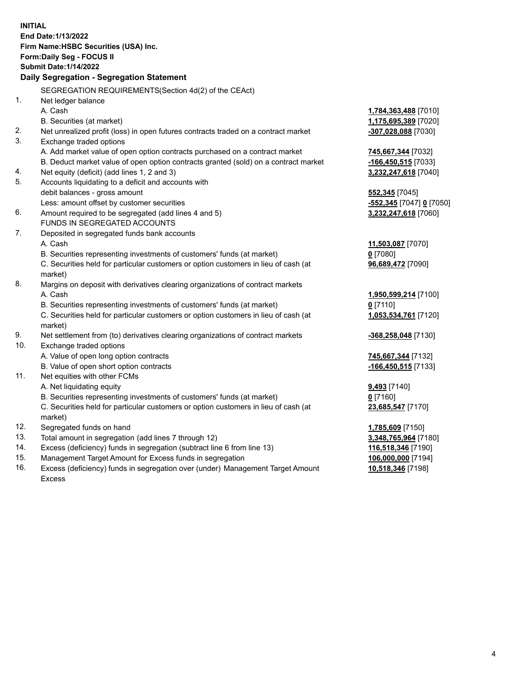**INITIAL End Date:1/13/2022 Firm Name:HSBC Securities (USA) Inc. Form:Daily Seg - FOCUS II Submit Date:1/14/2022 Daily Segregation - Segregation Statement** SEGREGATION REQUIREMENTS(Section 4d(2) of the CEAct) 1. Net ledger balance A. Cash **1,784,363,488** [7010] B. Securities (at market) **1,175,695,389** [7020] 2. Net unrealized profit (loss) in open futures contracts traded on a contract market **-307,028,088** [7030] 3. Exchange traded options A. Add market value of open option contracts purchased on a contract market **745,667,344** [7032] B. Deduct market value of open option contracts granted (sold) on a contract market **-166,450,515** [7033] 4. Net equity (deficit) (add lines 1, 2 and 3) **3,232,247,618** [7040] 5. Accounts liquidating to a deficit and accounts with debit balances - gross amount **552,345** [7045] Less: amount offset by customer securities **-552,345** [7047] **0** [7050] 6. Amount required to be segregated (add lines 4 and 5) **3,232,247,618** [7060] FUNDS IN SEGREGATED ACCOUNTS 7. Deposited in segregated funds bank accounts A. Cash **11,503,087** [7070] B. Securities representing investments of customers' funds (at market) **0** [7080] C. Securities held for particular customers or option customers in lieu of cash (at market) **96,689,472** [7090] 8. Margins on deposit with derivatives clearing organizations of contract markets A. Cash **1,950,599,214** [7100] B. Securities representing investments of customers' funds (at market) **0** [7110] C. Securities held for particular customers or option customers in lieu of cash (at market) **1,053,534,761** [7120] 9. Net settlement from (to) derivatives clearing organizations of contract markets **-368,258,048** [7130] 10. Exchange traded options A. Value of open long option contracts **745,667,344** [7132] B. Value of open short option contracts **-166,450,515** [7133] 11. Net equities with other FCMs A. Net liquidating equity **9,493** [7140] B. Securities representing investments of customers' funds (at market) **0** [7160] C. Securities held for particular customers or option customers in lieu of cash (at market) **23,685,547** [7170] 12. Segregated funds on hand **1,785,609** [7150] 13. Total amount in segregation (add lines 7 through 12) **3,348,765,964** [7180] 14. Excess (deficiency) funds in segregation (subtract line 6 from line 13) **116,518,346** [7190] 15. Management Target Amount for Excess funds in segregation **106,000,000** [7194]

16. Excess (deficiency) funds in segregation over (under) Management Target Amount Excess

**10,518,346** [7198]